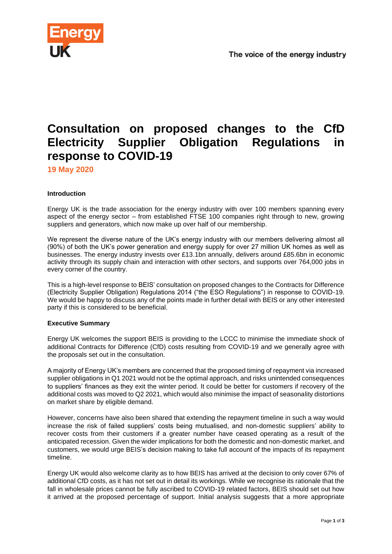

# **Consultation on proposed changes to the CfD Electricity Supplier Obligation Regulations in response to COVID-19**

**19 May 2020**

## **Introduction**

Energy UK is the trade association for the energy industry with over 100 members spanning every aspect of the energy sector – from established FTSE 100 companies right through to new, growing suppliers and generators, which now make up over half of our membership.

We represent the diverse nature of the UK's energy industry with our members delivering almost all (90%) of both the UK's power generation and energy supply for over 27 million UK homes as well as businesses. The energy industry invests over £13.1bn annually, delivers around £85.6bn in economic activity through its supply chain and interaction with other sectors, and supports over 764,000 jobs in every corner of the country.

This is a high-level response to BEIS' consultation on proposed changes to the Contracts for Difference (Electricity Supplier Obligation) Regulations 2014 ("the ESO Regulations") in response to COVID-19. We would be happy to discuss any of the points made in further detail with BEIS or any other interested party if this is considered to be beneficial.

#### **Executive Summary**

Energy UK welcomes the support BEIS is providing to the LCCC to minimise the immediate shock of additional Contracts for Difference (CfD) costs resulting from COVID-19 and we generally agree with the proposals set out in the consultation.

A majority of Energy UK's members are concerned that the proposed timing of repayment via increased supplier obligations in Q1 2021 would not be the optimal approach, and risks unintended consequences to suppliers' finances as they exit the winter period. It could be better for customers if recovery of the additional costs was moved to Q2 2021, which would also minimise the impact of seasonality distortions on market share by eligible demand.

However, concerns have also been shared that extending the repayment timeline in such a way would increase the risk of failed suppliers' costs being mutualised, and non-domestic suppliers' ability to recover costs from their customers if a greater number have ceased operating as a result of the anticipated recession. Given the wider implications for both the domestic and non-domestic market, and customers, we would urge BEIS's decision making to take full account of the impacts of its repayment timeline.

Energy UK would also welcome clarity as to how BEIS has arrived at the decision to only cover 67% of additional CfD costs, as it has not set out in detail its workings. While we recognise its rationale that the fall in wholesale prices cannot be fully ascribed to COVID-19 related factors, BEIS should set out how it arrived at the proposed percentage of support. Initial analysis suggests that a more appropriate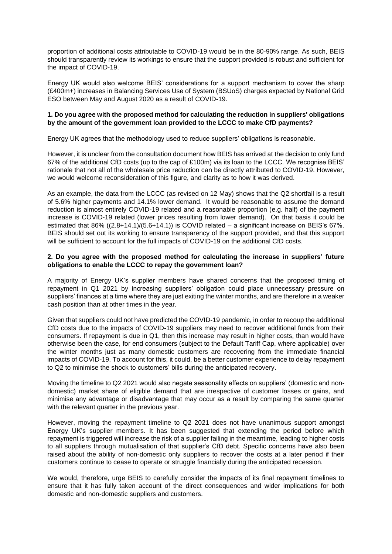proportion of additional costs attributable to COVID-19 would be in the 80-90% range. As such, BEIS should transparently review its workings to ensure that the support provided is robust and sufficient for the impact of COVID-19.

Energy UK would also welcome BEIS' considerations for a support mechanism to cover the sharp (£400m+) increases in Balancing Services Use of System (BSUoS) charges expected by National Grid ESO between May and August 2020 as a result of COVID-19.

# **1. Do you agree with the proposed method for calculating the reduction in suppliers' obligations by the amount of the government loan provided to the LCCC to make CfD payments?**

Energy UK agrees that the methodology used to reduce suppliers' obligations is reasonable.

However, it is unclear from the consultation document how BEIS has arrived at the decision to only fund 67% of the additional CfD costs (up to the cap of £100m) via its loan to the LCCC. We recognise BEIS' rationale that not all of the wholesale price reduction can be directly attributed to COVID-19. However, we would welcome reconsideration of this figure, and clarity as to how it was derived.

As an example, the data from the LCCC (as revised on 12 May) shows that the Q2 shortfall is a result of 5.6% higher payments and 14.1% lower demand. It would be reasonable to assume the demand reduction is almost entirely COVID-19 related and a reasonable proportion (e.g. half) of the payment increase is COVID-19 related (lower prices resulting from lower demand). On that basis it could be estimated that 86% ((2.8+14.1)/(5.6+14.1)) is COVID related – a significant increase on BEIS's 67%. BEIS should set out its working to ensure transparency of the support provided, and that this support will be sufficient to account for the full impacts of COVID-19 on the additional CfD costs.

# **2. Do you agree with the proposed method for calculating the increase in suppliers' future obligations to enable the LCCC to repay the government loan?**

A majority of Energy UK's supplier members have shared concerns that the proposed timing of repayment in Q1 2021 by increasing suppliers' obligation could place unnecessary pressure on suppliers' finances at a time where they are just exiting the winter months, and are therefore in a weaker cash position than at other times in the year.

Given that suppliers could not have predicted the COVID-19 pandemic, in order to recoup the additional CfD costs due to the impacts of COVID-19 suppliers may need to recover additional funds from their consumers. If repayment is due in Q1, then this increase may result in higher costs, than would have otherwise been the case, for end consumers (subject to the Default Tariff Cap, where applicable) over the winter months just as many domestic customers are recovering from the immediate financial impacts of COVID-19. To account for this, it could, be a better customer experience to delay repayment to Q2 to minimise the shock to customers' bills during the anticipated recovery.

Moving the timeline to Q2 2021 would also negate seasonality effects on suppliers' (domestic and nondomestic) market share of eligible demand that are irrespective of customer losses or gains, and minimise any advantage or disadvantage that may occur as a result by comparing the same quarter with the relevant quarter in the previous year.

However, moving the repayment timeline to Q2 2021 does not have unanimous support amongst Energy UK's supplier members. It has been suggested that extending the period before which repayment is triggered will increase the risk of a supplier failing in the meantime, leading to higher costs to all suppliers through mutualisation of that supplier's CfD debt. Specific concerns have also been raised about the ability of non-domestic only suppliers to recover the costs at a later period if their customers continue to cease to operate or struggle financially during the anticipated recession.

We would, therefore, urge BEIS to carefully consider the impacts of its final repayment timelines to ensure that it has fully taken account of the direct consequences and wider implications for both domestic and non-domestic suppliers and customers.